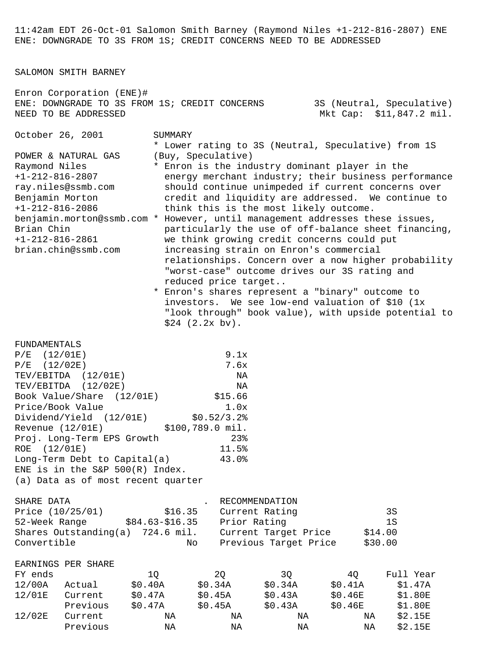11:42am EDT 26-Oct-01 Salomon Smith Barney (Raymond Niles +1-212-816-2807) ENE ENE: DOWNGRADE TO 3S FROM 1S; CREDIT CONCERNS NEED TO BE ADDRESSED

SALOMON SMITH BARNEY

Enron Corporation (ENE)# ENE: DOWNGRADE TO 3S FROM 1S; CREDIT CONCERNS 3S (Neutral, Speculative) NEED TO BE ADDRESSED **Mateurs** Mkt Cap: \$11,847.2 mil.

October 26, 2001 SUMMARY

 \* Lower rating to 3S (Neutral, Speculative) from 1S POWER & NATURAL GAS (Buy, Speculative)

- Raymond Niles \* Enron is the industry dominant player in the +1-212-816-2807 energy merchant industry; their business performance ray.niles@ssmb.com should continue unimpeded if current concerns over Benjamin Morton credit and liquidity are addressed. We continue to +1-212-816-2086 think this is the most likely outcome. benjamin.morton@ssmb.com \* However, until management addresses these issues,
- Brian Chin particularly the use of off-balance sheet financing, +1-212-816-2861 we think growing credit concerns could put brian.chin@ssmb.com increasing strain on Enron's commercial relationships. Concern over a now higher probability "worst-case" outcome drives our 3S rating and reduced price target..
	- \* Enron's shares represent a "binary" outcome to investors. We see low-end valuation of \$10 (1x "look through" book value), with upside potential to \$24 (2.2x bv).

FUNDAMENTALS

| $P/E$ (12/01E)                     | 9.1x             |
|------------------------------------|------------------|
| $P/E$ (12/02E)                     | 7.6x             |
| TEV/EBITDA (12/01E)                | ΝA               |
| TEV/EBITDA (12/02E)                | ΝA               |
| Book Value/Share (12/01E)          | \$15.66          |
| Price/Book Value                   | 1.0x             |
| Dividend/Yield (12/01E)            | \$0.52/3.2       |
| Revenue (12/01E)                   | \$100,789.0 mil. |
| Proj. Long-Term EPS Growth         | 23 <sub>8</sub>  |
| ROE (12/01E)                       | 11.5%            |
| Long-Term Debt to Capital(a)       | 43.0%            |
| ENE is in the S&P $500(R)$ Index.  |                  |
| (a) Data as of most recent quarter |                  |
|                                    |                  |

| SHARE DATA                          |                 | RECOMMENDATION        |         |
|-------------------------------------|-----------------|-----------------------|---------|
| Price $(10/25/01)$                  | \$16.35         | Current Rating        | 3S      |
| 52-Week Range                       | \$84.63-\$16.35 | Prior Rating          | 1 S     |
| Shares Outstanding $(a)$ 724.6 mil. |                 | Current Target Price  | \$14.00 |
| Convertible                         | Nο              | Previous Target Price | \$30.00 |

|         | EARNINGS PER SHARE |            |      |             |         |           |
|---------|--------------------|------------|------|-------------|---------|-----------|
| FY ends |                    |            |      |             | 40      | Full Year |
| 12/00Δ  | $\Delta$ ctual     | SO.<br>404 | 34 A | 34 A<br>S() | S() 41A |           |

| 12/00A | Actual   | \$0.40A | \$0.34A | \$0.34A | \$0.41A | S1.47A  |
|--------|----------|---------|---------|---------|---------|---------|
| 12/01E | Current  | \$0.47A | \$0.45A | \$0.43A | SO.46E  | \$1.80E |
|        | Previous | \$0.47A | \$0.45A | \$0.43A | \$0.46E | \$1.80E |
| 12/02E | Current  | ΝA      | ΝA      | ΝA      | ΝA      | \$2.15E |
|        | Previous | ΝA      | ΝA      | ΝA      | ΝA      | \$2.15E |
|        |          |         |         |         |         |         |